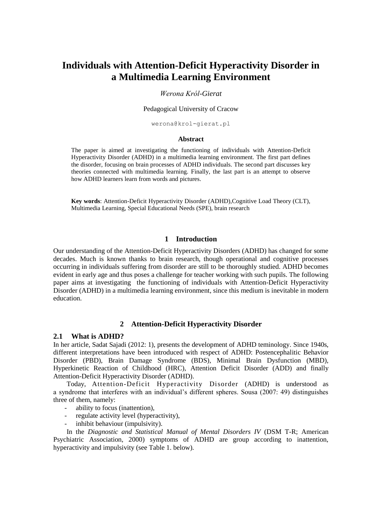# **Individuals with Attention-Deficit Hyperactivity Disorder in a Multimedia Learning Environment**

### *Werona Król-Gierat*

#### Pedagogical University of Cracow

werona@krol-gierat.pl

#### **Abstract**

The paper is aimed at investigating the functioning of individuals with Attention-Deficit Hyperactivity Disorder (ADHD) in a multimedia learning environment. The first part defines the disorder, focusing on brain processes of ADHD individuals. The second part discusses key theories connected with multimedia learning. Finally, the last part is an attempt to observe how ADHD learners learn from words and pictures.

**Key words**: Attention-Deficit Hyperactivity Disorder (ADHD),Cognitive Load Theory (CLT), Multimedia Learning, Special Educational Needs (SPE), brain research

# **1 Introduction**

Our understanding of the Attention-Deficit Hyperactivity Disorders (ADHD) has changed for some decades. Much is known thanks to brain research, though operational and cognitive processes occurring in individuals suffering from disorder are still to be thoroughly studied. ADHD becomes evident in early age and thus poses a challenge for teacher working with such pupils. The following paper aims at investigating the functioning of individuals with Attention-Deficit Hyperactivity Disorder (ADHD) in a multimedia learning environment, since this medium is inevitable in modern education.

#### **2 Attention-Deficit Hyperactivity Disorder**

### **2.1 What is ADHD?**

In her article, Sadat Sajadi (2012: 1), presents the development of ADHD teminology. Since 1940s, different interpretations have been introduced with respect of ADHD: Postencephalitic Behavior Disorder (PBD), Brain Damage Syndrome (BDS), Minimal Brain Dysfunction (MBD), Hyperkinetic Reaction of Childhood (HRC), Attention Deficit Disorder (ADD) and finally Attention-Deficit Hyperactivity Disorder (ADHD).

Today, Attention-Deficit Hyperactivity Disorder (ADHD) is understood as a syndrome that interferes with an individual's different spheres. Sousa (2007: 49) distinguishes three of them, namely:

- ability to focus (inattention),
- regulate activity level (hyperactivity),
- inhibit behaviour (impulsivity).

In the *Diagnostic and Statistical Manual of Mental Disorders IV* (DSM T-R; American Psychiatric Association, 2000) symptoms of ADHD are group according to inattention, hyperactivity and impulsivity (see Table 1. below).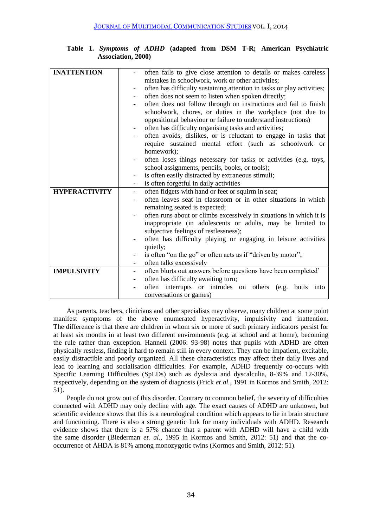| <b>INATTENTION</b>   | often fails to give close attention to details or makes careless                           |
|----------------------|--------------------------------------------------------------------------------------------|
|                      | mistakes in schoolwork, work or other activities;                                          |
|                      | often has difficulty sustaining attention in tasks or play activities;                     |
|                      | often does not seem to listen when spoken directly;                                        |
|                      | often does not follow through on instructions and fail to finish<br>-                      |
|                      | schoolwork, chores, or duties in the workplace (not due to                                 |
|                      | oppositional behaviour or failure to understand instructions)                              |
|                      | often has difficulty organising tasks and activities;                                      |
|                      | often avoids, dislikes, or is reluctant to engage in tasks that                            |
|                      | require sustained mental effort (such as schoolwork or                                     |
|                      | homework);                                                                                 |
|                      | often loses things necessary for tasks or activities (e.g. toys,                           |
|                      | school assignments, pencils, books, or tools);                                             |
|                      | is often easily distracted by extraneous stimuli;<br>-                                     |
|                      | is often forgetful in daily activities<br>-                                                |
| <b>HYPERACTIVITY</b> | often fidgets with hand or feet or squirm in seat;<br>-                                    |
|                      | often leaves seat in classroom or in other situations in which                             |
|                      | remaining seated is expected;                                                              |
|                      | often runs about or climbs excessively in situations in which it is                        |
|                      | inappropriate (in adolescents or adults, may be limited to                                 |
|                      | subjective feelings of restlessness);                                                      |
|                      | often has difficulty playing or engaging in leisure activities                             |
|                      | quietly;                                                                                   |
|                      | is often "on the go" or often acts as if "driven by motor";                                |
|                      | often talks excessively                                                                    |
| <b>IMPULSIVITY</b>   | often blurts out answers before questions have been completed'<br>$\overline{\phantom{a}}$ |
|                      | often has difficulty awaiting turn;                                                        |
|                      | often interrupts or intrudes on others (e.g. butts<br>into                                 |
|                      | conversations or games)                                                                    |

**Table 1.** *Symptoms of ADHD* **(adapted from DSM T-R; American Psychiatric Association, 2000)**

As parents, teachers, clinicians and other specialists may observe, many children at some point manifest symptoms of the above enumerated hyperactivity, impulsivity and inattention. The difference is that there are children in whom six or more of such primary indicators persist for at least six months in at least two different environments (e.g. at school and at home), becoming the rule rather than exception. Hannell (2006: 93-98) notes that pupils with ADHD are often physically restless, finding it hard to remain still in every context. They can be impatient, excitable, easily distractible and poorly organized. All these characteristics may affect their daily lives and lead to learning and socialisation difficulties. For example, ADHD frequently co-occurs with Specific Learning Difficulties (SpLDs) such as dyslexia and dyscalculia, 8-39% and 12-30%, respectively, depending on the system of diagnosis (Frick *et al.*, 1991 in Kormos and Smith, 2012: 51).

People do not grow out of this disorder. Contrary to common belief, the severity of difficulties connected with ADHD may only decline with age. The exact causes of ADHD are unknown, but scientific evidence shows that this is a neurological condition which appears to lie in brain structure and functioning. There is also a strong genetic link for many individuals with ADHD. Research evidence shows that there is a 57% chance that a parent with ADHD will have a child with the same disorder (Biederman *et. al.,* 1995 in Kormos and Smith, 2012: 51) and that the cooccurrence of AHDA is 81% among monozygotic twins (Kormos and Smith, 2012: 51).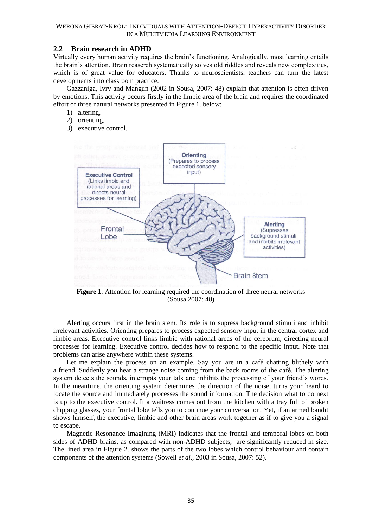### WERONA GIERAT-KRÓL: INDIVIDUALS WITH ATTENTION-DEFICIT HYPERACTIVITY DISORDER IN A MULTIMEDIA LEARNING ENVIRONMENT

# **2.2 Brain research in ADHD**

Virtually every human activity requires the brain's functioning. Analogically, most learning entails the brain's attention. Brain reaserch systematically solves old riddles and reveals new complexities, which is of great value for educators. Thanks to neuroscientists, teachers can turn the latest developments into classroom practice.

Gazzaniga, Ivry and Mangun (2002 in Sousa, 2007: 48) explain that attention is often driven by emotions. This activity occurs firstly in the limbic area of the brain and requires the coordinated effort of three natural networks presented in Figure 1. below:

- 1) altering,
- 2) orienting,
- 3) executive control.



**Figure 1**. Attention for learning required the coordination of three neural networks (Sousa 2007: 48)

Alerting occurs first in the brain stem. Its role is to supress background stimuli and inhibit irrelevant activities. Orienting prepares to process expected sensory input in the central cortex and limbic areas. Executive control links limbic with rational areas of the cerebrum, directing neural processes for learning. Executive control decides how to respond to the specific input. Note that problems can arise anywhere within these systems.

Let me explain the process on an example. Say you are in a café chatting blithely with a friend. Suddenly you hear a strange noise coming from the back rooms of the café. The altering system detects the sounds, interrupts your talk and inhibits the processing of your friend's words. In the meantime, the orienting system determines the direction of the noise, turns your heard to locate the source and immediately processes the sound information. The decision what to do next is up to the executive control. If a waitress comes out from the kitchen with a tray full of broken chipping glasses, your frontal lobe tells you to continue your conversation. Yet, if an armed bandit shows himself, the executive, limbic and other brain areas work together as if to give you a signal to escape.

Magnetic Resonance Imagining (MRI) indicates that the frontal and temporal lobes on both sides of ADHD brains, as compared with non-ADHD subjects, are significantly reduced in size. The lined area in Figure 2. shows the parts of the two lobes which control behaviour and contain components of the attention systems (Sowell *et al.,* 2003 in Sousa, 2007: 52).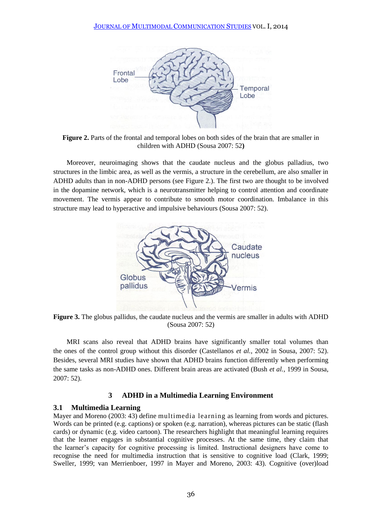

**Figure 2.** Parts of the frontal and temporal lobes on both sides of the brain that are smaller in children with ADHD (Sousa 2007: 52**)**

Moreover, neuroimaging shows that the caudate nucleus and the globus palladius, two structures in the limbic area, as well as the vermis, a structure in the cerebellum, are also smaller in ADHD adults than in non-ADHD persons (see Figure 2.). The first two are thought to be involved in the dopamine network, which is a neurotransmitter helping to control attention and coordinate movement. The vermis appear to contribute to smooth motor coordination. Imbalance in this structure may lead to hyperactive and impulsive behaviours (Sousa 2007: 52).



**Figure 3.** The globus pallidus, the caudate nucleus and the vermis are smaller in adults with ADHD (Sousa 2007: 52)

MRI scans also reveal that ADHD brains have significantly smaller total volumes than the ones of the control group without this disorder (Castellanos *et al.,* 2002 in Sousa, 2007: 52). Besides, several MRI studies have shown that ADHD brains function differently when performing the same tasks as non-ADHD ones. Different brain areas are activated (Bush *et al.,* 1999 in Sousa, 2007: 52).

# **3 ADHD in a Multimedia Learning Environment**

# **3.1 Multimedia Learning**

Mayer and Moreno (2003: 43) define multimedia learning as learning from words and pictures. Words can be printed (e.g. captions) or spoken (e.g. narration), whereas pictures can be static (flash cards) or dynamic (e.g. video cartoon). The researchers highlight that meaningful learning requires that the learner engages in substantial cognitive processes. At the same time, they claim that the learner's capacity for cognitive processing is limited. Instructional designers have come to recognise the need for multimedia instruction that is sensitive to cognitive load (Clark, 1999; Sweller, 1999; van Merrienboer, 1997 in Mayer and Moreno, 2003: 43). Cognitive (over)load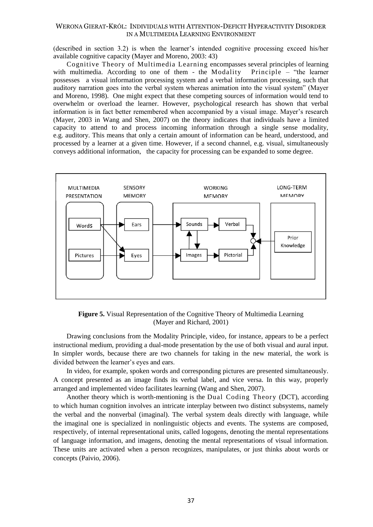## WERONA GIERAT-KRÓL: INDIVIDUALS WITH ATTENTION-DEFICIT HYPERACTIVITY DISORDER IN A MULTIMEDIA LEARNING ENVIRONMENT

(described in section 3.2) is when the learner's intended cognitive processing exceed his/her available cognitive capacity (Mayer and Moreno, 2003: 43)

Cognitive Theory of Multimedia Learning encompasses several principles of learning with multimedia. According to one of them - the Modality Principle – "the learner" possesses a visual information processing system and a verbal information processing, such that auditory narration goes into the verbal system whereas animation into the visual system" (Mayer and Moreno, 1998). One might expect that these competing sources of information would tend to overwhelm or overload the learner. However, psychological research has shown that verbal information is in fact better remembered when accompanied by a visual image. Mayer's research (Mayer, 2003 in Wang and Shen, 2007) on the theory indicates that individuals have a limited capacity to attend to and process incoming information through a single sense modality, e.g. auditory. This means that only a certain amount of information can be heard, understood, and processed by a learner at a given time. However, if a second channel, e.g. visual, simultaneously conveys additional information, the capacity for processing can be expanded to some degree.



**Figure 5.** Visual Representation of the Cognitive Theory of Multimedia Learning (Mayer and Richard, 2001)

Drawing conclusions from the Modality Principle, video, for instance, appears to be a perfect instructional medium, providing a dual-mode presentation by the use of both visual and aural input. In simpler words, because there are two channels for taking in the new material, the work is divided between the learner's eyes and ears.

In video, for example, spoken words and corresponding pictures are presented simultaneously. A concept presented as an image finds its verbal label, and vice versa. In this way, properly arranged and implemented video facilitates learning (Wang and Shen, 2007).

Another theory which is worth-mentioning is the Dual Coding Theory (DCT), according to which human cognition involves an intricate interplay between two distinct subsystems, namely the verbal and the nonverbal (imaginal). The verbal system deals directly with language, while the imaginal one is specialized in nonlinguistic objects and events. The systems are composed, respectively, of internal representational units, called logogens, denoting the mental representations of language information, and imagens, denoting the mental representations of visual information. These units are activated when a person recognizes, manipulates, or just thinks about words or concepts (Paivio, 2006).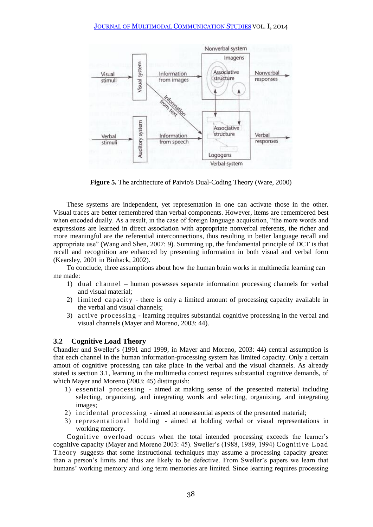

**Figure 5.** The architecture of Paivio's Dual-Coding Theory (Ware, 2000)

These systems are independent, yet representation in one can activate those in the other. Visual traces are better remembered than verbal components. However, items are remembered best when encoded dually. As a result, in the case of foreign language acquisition, "the more words and expressions are learned in direct association with appropriate nonverbal referents, the richer and more meaningful are the referential interconnections, thus resulting in better language recall and appropriate use" (Wang and Shen, 2007: 9). Summing up, the fundamental principle of DCT is that recall and recognition are enhanced by presenting information in both visual and verbal form (Kearsley, 2001 in Binhack, 2002).

To conclude, three assumptions about how the human brain works in multimedia learning can me made:

- 1) dual channel human possesses separate information processing channels for verbal and visual material;
- 2) limited capacity there is only a limited amount of processing capacity available in the verbal and visual channels;
- 3) active processing learning requires substantial cognitive processing in the verbal and visual channels (Mayer and Moreno, 2003: 44).

# **3.2 Cognitive Load Theory**

Chandler and Sweller's (1991 and 1999, in Mayer and Moreno, 2003: 44) central assumption is that each channel in the human information-processing system has limited capacity. Only a certain amout of cognitive processing can take place in the verbal and the visual channels. As already stated is section 3.1, learning in the multimedia context requires substantial cognitive demands, of which Mayer and Moreno (2003: 45) distinguish:

- 1) essential processing aimed at making sense of the presented material including selecting, organizing, and integrating words and selecting, organizing, and integrating images;
- 2) incidental processing aimed at nonessential aspects of the presented material;
- 3) representational holding aimed at holding verbal or visual representations in working memory.

Cognitive overload occurs when the total intended processing exceeds the learner's cognitive capacity (Mayer and Moreno 2003: 45). Sweller's (1988, 1989, 1994) Cognitive Load Theory suggests that some instructional techniques may assume a processing capacity greater than a person's limits and thus are likely to be defective. From Sweller's papers we learn that humans' working memory and long term memories are limited. Since learning requires processing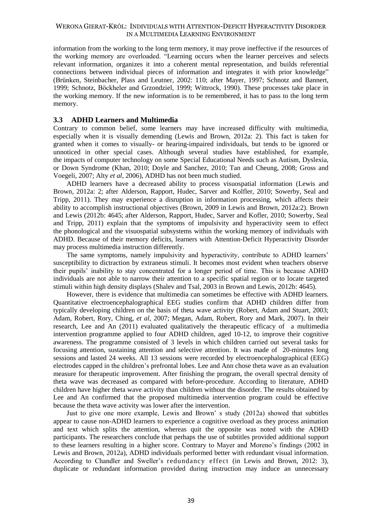information from the working to the long term memory, it may prove ineffective if the resources of the working memory are overloaded. "Learning occurs when the learner perceives and selects relevant information, organizes it into a coherent mental representation, and builds referential connections between individual pieces of information and integrates it with prior knowledge" (Brünken, Steinbacher, Plass and Leutner, 2002: 110; after Mayer, 1997; Schnotz and Bannert, 1999; Schnotz, Böckheler and Grzondziel, 1999; Wittrock, 1990). These processes take place in the working memory. If the new information is to be remembered, it has to pass to the long term memory.

# **3.3 ADHD Learners and Multimedia**

Contrary to common belief, some learners may have increased difficulty with multimedia, especially when it is visually demending (Lewis and Brown, 2012a: 2). This fact is taken for granted when it comes to visually- or hearing-impaired individuals, but tends to be ignored or unnoticed in other special cases. Although several studies have established, for example, the impacts of computer technology on some Special Educational Needs such as Autism, Dyslexia, or Down Syndrome (Khan, 2010; Doyle and Sanchez, 2010; Tan and Cheung, 2008; Gross and Voegeli, 2007; Alty *et al*, 2006), ADHD has not been much studied.

ADHD learners have a decreased ability to process visuospatial information (Lewis and Brown, 2012a: 2; after Alderson, Rapport, Hudec, Sarver and Kolfler, 2010; Sowerby, Seal and Tripp, 2011). They may experience a disruption in information processing, which affects their ability to accomplish instructional objectives (Brown, 2009 in Lewis and Brown, 2012a:2). Brown and Lewis (2012b: 4645; after Alderson, Rapport, Hudec, Sarver and Kofler, 2010; Sowerby, Seal and Tripp, 2011) explain that the symptoms of impulsivity and hyperactivity seem to effect the phonological and the visuospatial subsystems within the working memory of individuals with ADHD. Because of their memory deficits, learners with Attention-Deficit Hyperactivity Disorder may process multimedia instruction differently.

The same symptoms, namely impulsivity and hyperactivity, contribute to ADHD learners' susceptibility to dictraction by extraneus stimuli. It becomes most evident when teachers observe their pupils' inability to stay concentrated for a longer period of time. This is because ADHD individuals are not able to narrow their attention to a specific spatial region or to locate targeted stimuli within high density displays (Shalev and Tsal, 2003 in Brown and Lewis, 2012b: 4645).

However, there is evidence that multimedia can sometimes be effective with ADHD learners. Quantitative electroencephalographical EEG studies confirm that ADHD children differ from typically developing children on the basis of theta wave activity (Robert, Adam and Stuart, 2003; Adam, Robert, Rory, Ching, *et al,* 2007; Megan, Adam, Robert, Rory and Mark, 2007). In their research, Lee and An (2011) evaluated qualitatively the therapeutic efficacy of a multimedia intervention programme applied to four ADHD children, aged 10-12, to improve their cognitive awareness. The programme consisted of 3 levels in which children carried out several tasks for focusing attention, sustaining attention and selective attention. It was made of 20-minutes long sessions and lasted 24 weeks. All 13 sessions were recorded by electroencephalographical (EEG) electrodes capped in the children's prefrontal lobes. Lee and Ann chose theta wave as an evaluation measure for therapeutic improvement. After finishing the program, the overall spectral density of theta wave was decreased as compared with before-procedure. According to literature, ADHD children have higher theta wave activity than children without the disorder. The results obtained by Lee and An confirmed that the proposed multimedia intervention program could be effective because the theta wave activity was lower after the intervention.

Just to give one more example, Lewis and Brown' s study (2012a) showed that subtitles appear to cause non-ADHD learners to experience a cognitive overload as they process animation and text which splits the attention, whereas quit the opposite was noted with the ADHD participants. The researchers conclude that perhaps the use of subtitles provided additional support to these learners resulting in a higher score. Contrary to Mayer and Moreno's findings (2002 in Lewis and Brown, 2012a), ADHD individuals performed better with redundant visual information. According to Chandler and Sweller's redundancy effect (in Lewis and Brown, 2012: 3), duplicate or redundant information provided during instruction may induce an unnecessary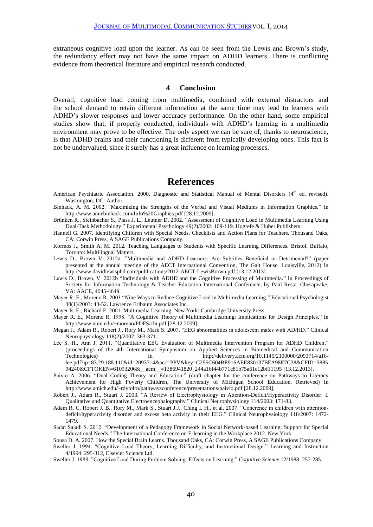extraneous cognitive load upon the learner. As can be seen from the Lewis and Brown's study, the redundancy effect may not have the same impact on ADHD learners. There is conflicting evidence from theoretical literature and empirical research conducted.

### **4 Conclusion**

Overall, cognitive load coming from multimedia, combined with external distractors and the school demand to retain different information at the same time may lead to learners with ADHD's slower responses and lower accuracy performance. On the other hand, some empirical studies show that, if properly conducted, individuals with ADHD's learning in a multimedia environment may prove to be effective. The only aspect we can be sure of, thanks to neuroscience, is that ADHD brains and their functioning is different from typically developing ones. This fact is not be undervalued, since it surely has a great influence on learning processes.

# **References**

- American Psychiatric Association. 2000. Diagnostic and Statistical Manual of Mental Disorders (4<sup>th</sup> ed. revised). Washington, DC: Author.
- Binhack, A. M. 2002. "Maximizing the Strengths of the Verbal and Visual Mediums in Information Graphics." In http://www.annebinhack.com/Info%20Graphics.pdf [28.12.2009].
- Brünken R., Steinbacher S., Plass J. L., Leutner D. 2002. "Assessment of Cognitive Load in Multimedia Learning Using Dual-Task Methodology." Experimental Psychology 49(2)/2002: 109-119. Hogrefe & Huber Publishers.
- Hannell G. 2007. Identifying Children with Special Needs. Checklists and Action Plans for Teachers. Thousand Oaks, CA: Corwin Press, A SAGE Publications Company.
- Kormos J., Smith A. M. 2012. Teaching Languages to Students with Specific Learning Differences. Bristol, Buffalo, Toronto: Multilingual Matters.
- Lewis D., Brown V. 2012a. "Multimedia and ADHD Learners: Are Subtitles Beneficial or Detrimental?" (paper presented at the annual meeting of the AECT International Convention, The Galt House, Louisville, 2012) In http://www.davidlewisphd.com/publications/2012-AECT-LewisBrown.pdf [13.12.2013].
- Lewis D., Brown, V. 2012b "Individuals with ADHD and the Cognitive Processing of Multimedia." In Proceedings of Society for Information Technology & Teacher Education International Conference, by Paul Resta*.* Chesapeake, VA: AACE, 4645-4649.
- Mayer R. E., Moreno R. 2003 "Nine Ways to Reduce Cognitive Load in Multimedia Learning." Educational Psychologist 38(1)/2003: 43-52. Lawrence Erlbaum Associates Inc.
- Mayer R. E., Richard E. 2001. Multimedia Learning. New York: Cambridge University Press.
- Mayer R. E., Moreno R. 1998. "A Cognitive Theory of Multimedia Learning: Implications for Design Principles." In http://www.unm.edu/~moreno/PDFS/chi.pdf [28.12.2009].
- Megan J., Adam R., Robert J., Rory M., Mark S. 2007. "EEG abnormalities in adolescent males with AD/HD." Clinical Neurophysiology 118(2)/2007: 363-371.
- Lee S. H., Ann J. 2011. "Quantitative EEG Evaluation of Multimedia Intervention Program for ADHD Children." (proceedings of the 4th International Symposium on Applied Sciences in Biomedical and Communication Technologies) In http://delivery.acm.org/10.1145/2100000/2093714/a16lee.pdf?ip=83.29.188.110&id=2093714&acc=PPV&key=C255C604BE916AEE830137BFA98E7C38&CFID=3885 94240&CFTOKEN=61093206&\_\_acm\_\_=1386941820\_244a16f44b771c81b75a61e12bf11195 [13.12.2013].
- Paivio A. 2006. "Dual Coding Theory and Education." (draft chapter for the conference on Pathways to Literacy Achievement for High Poverty Children, The University of Michigan School Education. Retrieved) In http://www.umich.edu/~rdytolrn/pathwaysconference/presentations/paivio.pdf [28.12.2009].
- Robert J., Adam R., Stuart J. 2003. "A Review of Electrophysiology in Attention-Deficit/Hyperactivity Disorder: I. Qualitative and Quantitative Electroencephalography." Clinical Neurophysiology 114/2003: 171-83.
- Adam R. C, Robert J. B., Rory M., Mark S., Stuart J.J., Ching I. H., et al. 2007. "Coherence in children with attentiondeficit/hyperactivity disorder and excess beta activity in their EEG." Clinical Neurophysiology 118/2007: 1472- 1479.
- Sadat Sajadi S. 2012. "Development of a Pedagogy Framework in Social Network-based Learning: Support for Special Educational Needs." The International Conference on E-learning in the Workplace 2012. New York.
- Sousa D. A. 2007. How the Special Brain Learns. Thousand Oaks, CA: Corwin Press, A SAGE Publications Company.
- Sweller J. 1994. "Cognitive Load Theory, Learning Difficulty, and Instructional Design." Learning and Instruction 4/1994: 295-312, Elsevier Science Ltd.
- Sweller J. 1988. "Cognitive Load During Problem Solving: Effects on Learning." *Cognitive Science* 12/1988: 257-285.